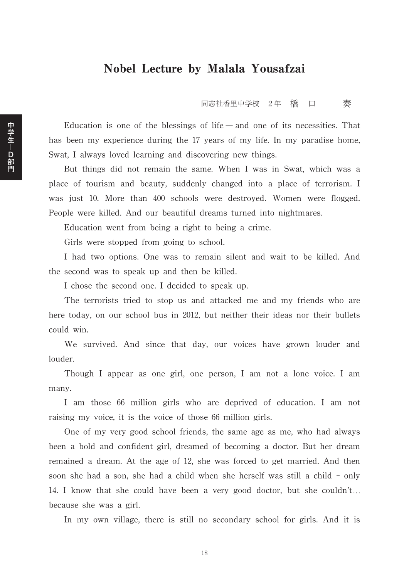## Nobel Lecture by Malala Yousafzai

同志社香里中学校 2年 橋 口 奏

Education is one of the blessings of life — and one of its necessities. That has been my experience during the 17 years of my life. In my paradise home, Swat, I always loved learning and discovering new things.

But things did not remain the same. When I was in Swat, which was a place of tourism and beauty, suddenly changed into a place of terrorism. I was just 10. More than 400 schools were destroyed. Women were flogged. People were killed. And our beautiful dreams turned into nightmares.

Education went from being a right to being a crime.

Girls were stopped from going to school.

I had two options. One was to remain silent and wait to be killed. And the second was to speak up and then be killed.

I chose the second one. I decided to speak up.

The terrorists tried to stop us and attacked me and my friends who are here today, on our school bus in 2012, but neither their ideas nor their bullets could win.

We survived. And since that day, our voices have grown louder and louder.

Though I appear as one girl, one person, I am not a lone voice. I am many.

I am those 66 million girls who are deprived of education. I am not raising my voice, it is the voice of those 66 million girls.

One of my very good school friends, the same age as me, who had always been a bold and confident girl, dreamed of becoming a doctor. But her dream remained a dream. At the age of 12, she was forced to get married. And then soon she had a son, she had a child when she herself was still a child - only 14. I know that she could have been a very good doctor, but she couldn't... because she was a girl.

In my own village, there is still no secondary school for girls. And it is